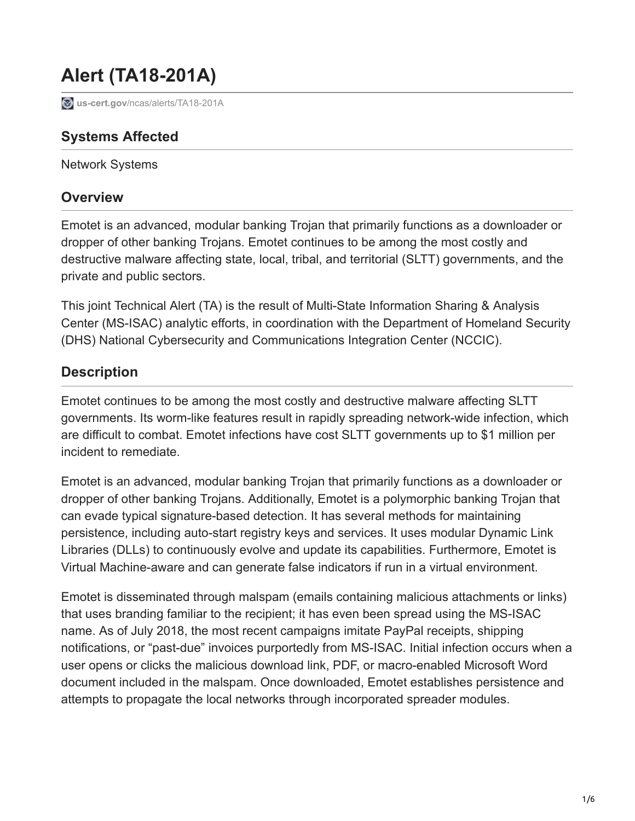# **Alert (TA18-201A)**

**b**us-cert.gov[/ncas/alerts/TA18-201A](https://www.us-cert.gov/ncas/alerts/TA18-201A)

## **Systems Affected**

Network Systems

#### **Overview**

Emotet is an advanced, modular banking Trojan that primarily functions as a downloader or dropper of other banking Trojans. Emotet continues to be among the most costly and destructive malware affecting state, local, tribal, and territorial (SLTT) governments, and the private and public sectors.

This joint Technical Alert (TA) is the result of Multi-State Information Sharing & Analysis Center (MS-ISAC) analytic efforts, in coordination with the Department of Homeland Security (DHS) National Cybersecurity and Communications Integration Center (NCCIC).

# **Description**

Emotet continues to be among the most costly and destructive malware affecting SLTT governments. Its worm-like features result in rapidly spreading network-wide infection, which are difficult to combat. Emotet infections have cost SLTT governments up to \$1 million per incident to remediate.

Emotet is an advanced, modular banking Trojan that primarily functions as a downloader or dropper of other banking Trojans. Additionally, Emotet is a polymorphic banking Trojan that can evade typical signature-based detection. It has several methods for maintaining persistence, including auto-start registry keys and services. It uses modular Dynamic Link Libraries (DLLs) to continuously evolve and update its capabilities. Furthermore, Emotet is Virtual Machine-aware and can generate false indicators if run in a virtual environment.

Emotet is disseminated through malspam (emails containing malicious attachments or links) that uses branding familiar to the recipient; it has even been spread using the MS-ISAC name. As of July 2018, the most recent campaigns imitate PayPal receipts, shipping notifications, or "past-due" invoices purportedly from MS-ISAC. Initial infection occurs when a user opens or clicks the malicious download link, PDF, or macro-enabled Microsoft Word document included in the malspam. Once downloaded, Emotet establishes persistence and attempts to propagate the local networks through incorporated spreader modules.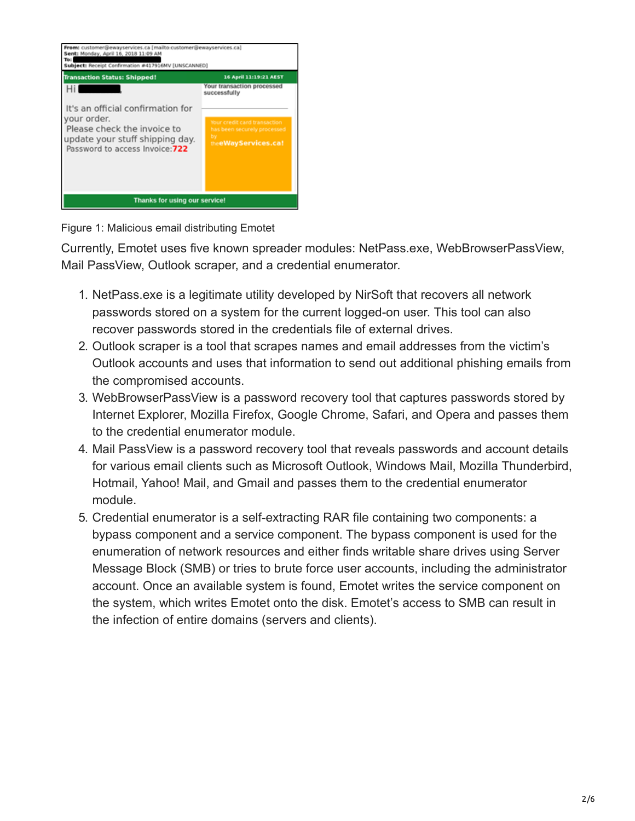

Figure 1: Malicious email distributing Emotet

Currently, Emotet uses five known spreader modules: NetPass.exe, WebBrowserPassView, Mail PassView, Outlook scraper, and a credential enumerator.

- 1. NetPass.exe is a legitimate utility developed by NirSoft that recovers all network passwords stored on a system for the current logged-on user. This tool can also recover passwords stored in the credentials file of external drives.
- 2. Outlook scraper is a tool that scrapes names and email addresses from the victim's Outlook accounts and uses that information to send out additional phishing emails from the compromised accounts.
- 3. WebBrowserPassView is a password recovery tool that captures passwords stored by Internet Explorer, Mozilla Firefox, Google Chrome, Safari, and Opera and passes them to the credential enumerator module.
- 4. Mail PassView is a password recovery tool that reveals passwords and account details for various email clients such as Microsoft Outlook, Windows Mail, Mozilla Thunderbird, Hotmail, Yahoo! Mail, and Gmail and passes them to the credential enumerator module.
- 5. Credential enumerator is a self-extracting RAR file containing two components: a bypass component and a service component. The bypass component is used for the enumeration of network resources and either finds writable share drives using Server Message Block (SMB) or tries to brute force user accounts, including the administrator account. Once an available system is found, Emotet writes the service component on the system, which writes Emotet onto the disk. Emotet's access to SMB can result in the infection of entire domains (servers and clients).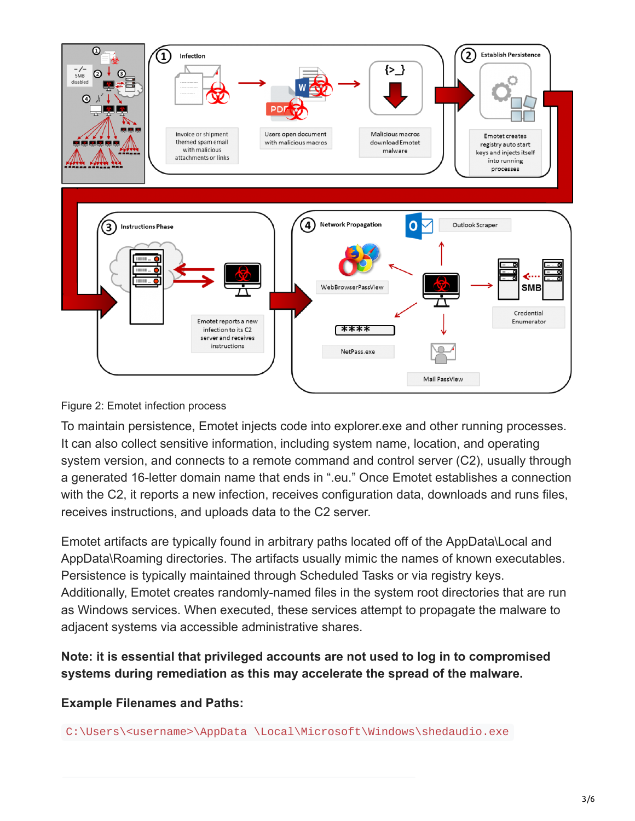

#### Figure 2: Emotet infection process

To maintain persistence, Emotet injects code into explorer.exe and other running processes. It can also collect sensitive information, including system name, location, and operating system version, and connects to a remote command and control server (C2), usually through a generated 16-letter domain name that ends in ".eu." Once Emotet establishes a connection with the C2, it reports a new infection, receives configuration data, downloads and runs files, receives instructions, and uploads data to the C2 server.

Emotet artifacts are typically found in arbitrary paths located off of the AppData\Local and AppData\Roaming directories. The artifacts usually mimic the names of known executables. Persistence is typically maintained through Scheduled Tasks or via registry keys. Additionally, Emotet creates randomly-named files in the system root directories that are run as Windows services. When executed, these services attempt to propagate the malware to adjacent systems via accessible administrative shares.

**Note: it is essential that privileged accounts are not used to log in to compromised systems during remediation as this may accelerate the spread of the malware.**

**Example Filenames and Paths:**

C:\Users\<username>\AppData \Local\Microsoft\Windows\shedaudio.exe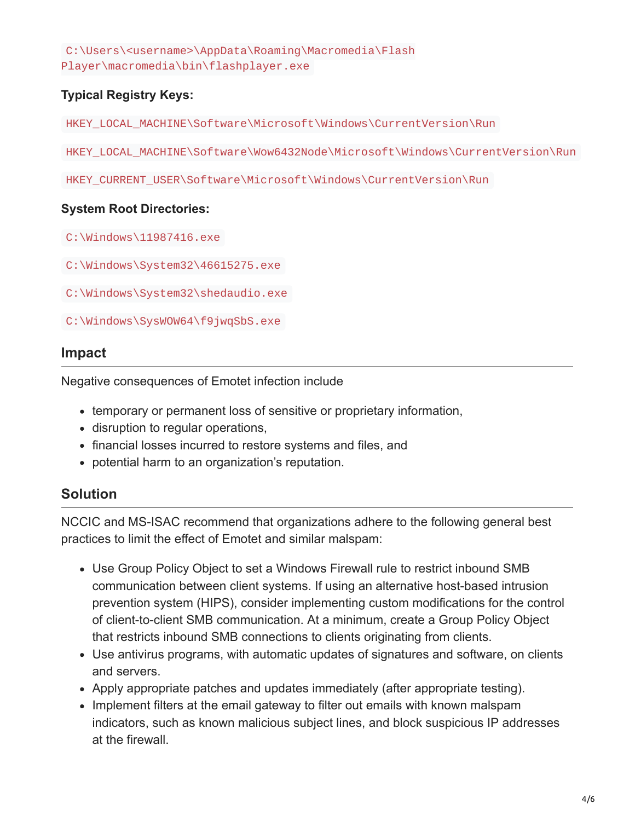C:\Users\<username>\AppData\Roaming\Macromedia\Flash Player\macromedia\bin\flashplayer.exe

#### **Typical Registry Keys:**

HKEY\_LOCAL\_MACHINE\Software\Microsoft\Windows\CurrentVersion\Run

HKEY\_LOCAL\_MACHINE\Software\Wow6432Node\Microsoft\Windows\CurrentVersion\Run

HKEY\_CURRENT\_USER\Software\Microsoft\Windows\CurrentVersion\Run

#### **System Root Directories:**

C:\Windows\11987416.exe

C:\Windows\System32\46615275.exe

C:\Windows\System32\shedaudio.exe

C:\Windows\SysWOW64\f9jwqSbS.exe

#### **Impact**

Negative consequences of Emotet infection include

- temporary or permanent loss of sensitive or proprietary information,
- disruption to regular operations,
- financial losses incurred to restore systems and files, and
- potential harm to an organization's reputation.

### **Solution**

NCCIC and MS-ISAC recommend that organizations adhere to the following general best practices to limit the effect of Emotet and similar malspam:

- Use Group Policy Object to set a Windows Firewall rule to restrict inbound SMB communication between client systems. If using an alternative host-based intrusion prevention system (HIPS), consider implementing custom modifications for the control of client-to-client SMB communication. At a minimum, create a Group Policy Object that restricts inbound SMB connections to clients originating from clients.
- Use antivirus programs, with automatic updates of signatures and software, on clients and servers.
- Apply appropriate patches and updates immediately (after appropriate testing).
- Implement filters at the email gateway to filter out emails with known malspam indicators, such as known malicious subject lines, and block suspicious IP addresses at the firewall.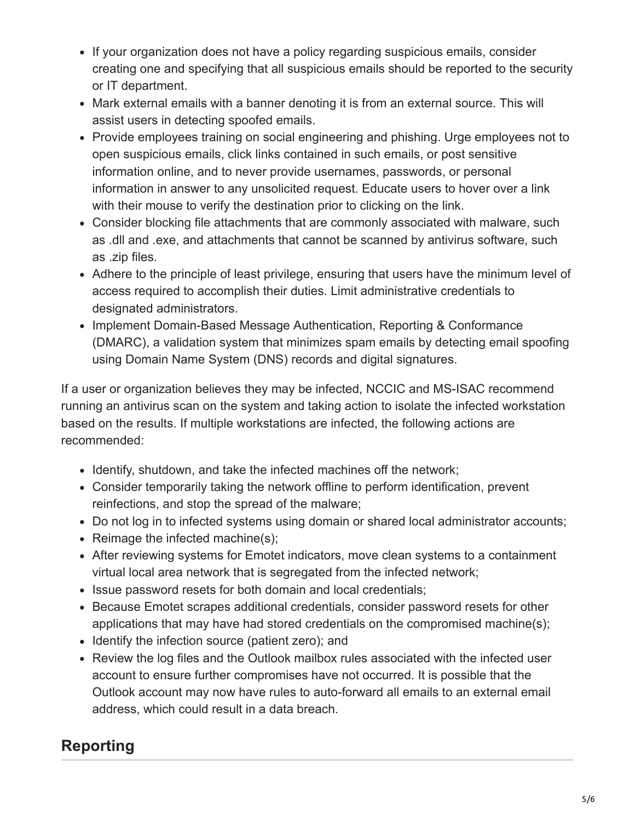- If your organization does not have a policy regarding suspicious emails, consider creating one and specifying that all suspicious emails should be reported to the security or IT department.
- Mark external emails with a banner denoting it is from an external source. This will assist users in detecting spoofed emails.
- Provide employees training on social engineering and phishing. Urge employees not to open suspicious emails, click links contained in such emails, or post sensitive information online, and to never provide usernames, passwords, or personal information in answer to any unsolicited request. Educate users to hover over a link with their mouse to verify the destination prior to clicking on the link.
- Consider blocking file attachments that are commonly associated with malware, such as .dll and .exe, and attachments that cannot be scanned by antivirus software, such as .zip files.
- Adhere to the principle of least privilege, ensuring that users have the minimum level of access required to accomplish their duties. Limit administrative credentials to designated administrators.
- Implement Domain-Based Message Authentication, Reporting & Conformance (DMARC), a validation system that minimizes spam emails by detecting email spoofing using Domain Name System (DNS) records and digital signatures.

If a user or organization believes they may be infected, NCCIC and MS-ISAC recommend running an antivirus scan on the system and taking action to isolate the infected workstation based on the results. If multiple workstations are infected, the following actions are recommended:

- Identify, shutdown, and take the infected machines off the network;
- Consider temporarily taking the network offline to perform identification, prevent reinfections, and stop the spread of the malware;
- Do not log in to infected systems using domain or shared local administrator accounts;
- $\bullet$  Reimage the infected machine(s);
- After reviewing systems for Emotet indicators, move clean systems to a containment virtual local area network that is segregated from the infected network;
- Issue password resets for both domain and local credentials;
- Because Emotet scrapes additional credentials, consider password resets for other applications that may have had stored credentials on the compromised machine(s);
- Identify the infection source (patient zero); and
- Review the log files and the Outlook mailbox rules associated with the infected user account to ensure further compromises have not occurred. It is possible that the Outlook account may now have rules to auto-forward all emails to an external email address, which could result in a data breach.

# **Reporting**